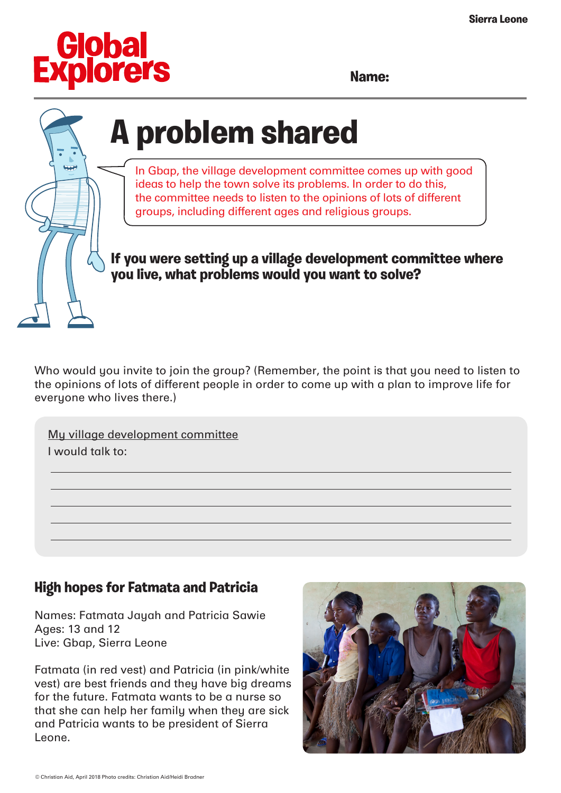

**Name:**

## **A problem shared**

In Gbap, the village development committee comes up with good ideas to help the town solve its problems. In order to do this, the committee needs to listen to the opinions of lots of different groups, including different ages and religious groups.

**If you were setting up a village development committee where you live, what problems would you want to solve?**

Who would you invite to join the group? (Remember, the point is that you need to listen to the opinions of lots of different people in order to come up with a plan to improve life for everyone who lives there.)

My village development committee I would talk to:

## **High hopes for Fatmata and Patricia**

Names: Fatmata Jayah and Patricia Sawie Ages: 13 and 12 Live: Gbap, Sierra Leone

Fatmata (in red vest) and Patricia (in pink/white vest) are best friends and they have big dreams for the future. Fatmata wants to be a nurse so that she can help her family when they are sick and Patricia wants to be president of Sierra Leone.

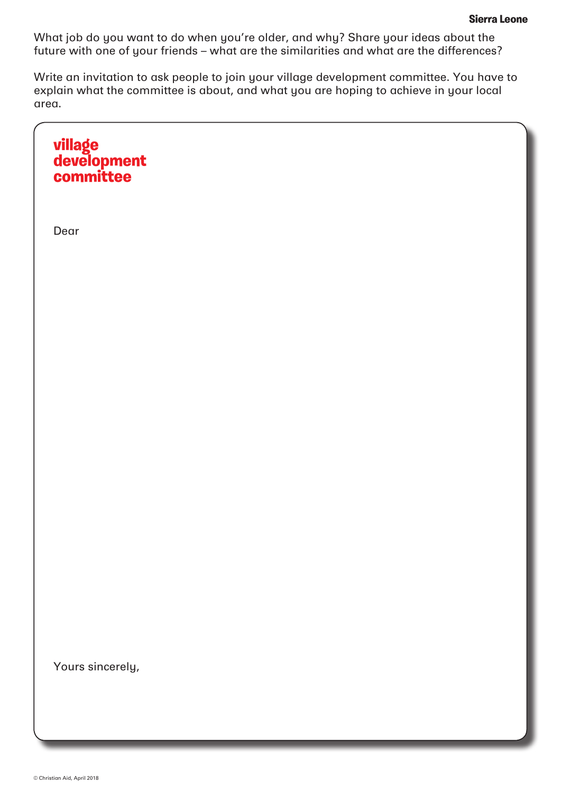What job do you want to do when you're older, and why? Share your ideas about the future with one of your friends – what are the similarities and what are the differences?

Write an invitation to ask people to join your village development committee. You have to explain what the committee is about, and what you are hoping to achieve in your local area.

**village development committee**  Dear Yours sincerely,